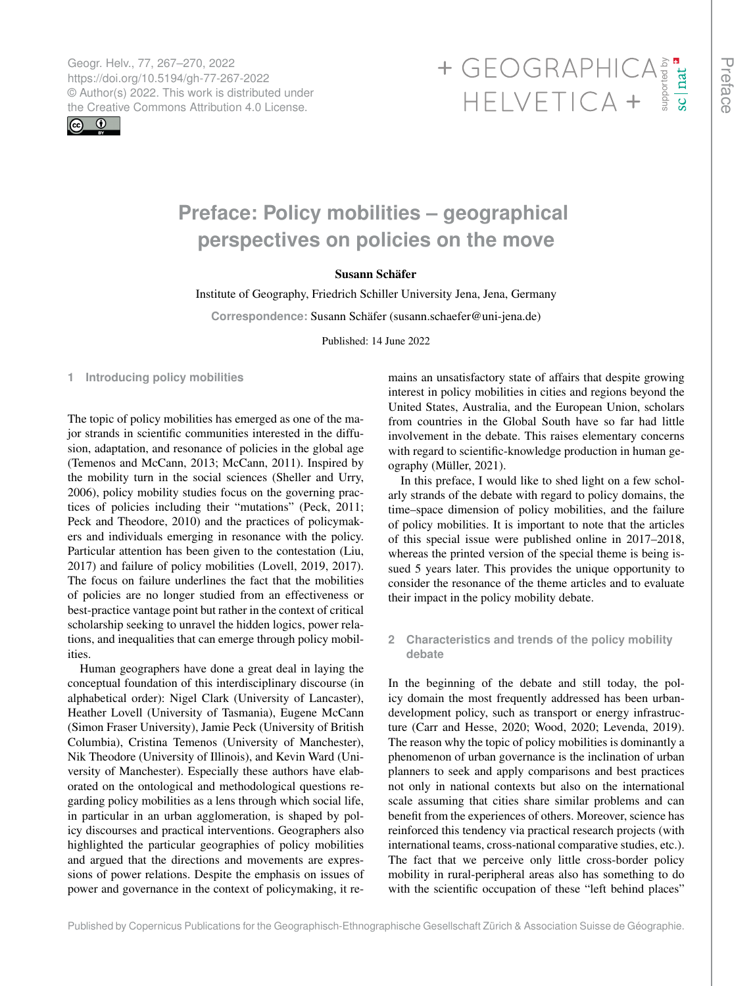Geogr. Helv., 77, 267–270, 2022 https://doi.org/10.5194/gh-77-267-2022 © Author(s) 2022. This work is distributed under



# Geogr. Helv., 77, 267–270, 2022<br>https://doi.org/10.5194/gh-77-267-2022<br>
© Author(s) 2022. This work is distributed under<br>
the Creative Commons Attribution 4.0 License.<br>
HELVETICA +

## **Preface: Policy mobilities – geographical perspectives on policies on the move**

### Susann Schäfer

Institute of Geography, Friedrich Schiller University Jena, Jena, Germany

**Correspondence:** Susann Schäfer (susann.schaefer@uni-jena.de)

Published: 14 June 2022

**1 Introducing policy mobilities**

The topic of policy mobilities has emerged as one of the major strands in scientific communities interested in the diffusion, adaptation, and resonance of policies in the global age (Temenos and McCann, 2013; McCann, 2011). Inspired by the mobility turn in the social sciences (Sheller and Urry, 2006), policy mobility studies focus on the governing practices of policies including their "mutations" (Peck, 2011; Peck and Theodore, 2010) and the practices of policymakers and individuals emerging in resonance with the policy. Particular attention has been given to the contestation (Liu, 2017) and failure of policy mobilities (Lovell, 2019, 2017). The focus on failure underlines the fact that the mobilities of policies are no longer studied from an effectiveness or best-practice vantage point but rather in the context of critical scholarship seeking to unravel the hidden logics, power relations, and inequalities that can emerge through policy mobilities.

Human geographers have done a great deal in laying the conceptual foundation of this interdisciplinary discourse (in alphabetical order): Nigel Clark (University of Lancaster), Heather Lovell (University of Tasmania), Eugene McCann (Simon Fraser University), Jamie Peck (University of British Columbia), Cristina Temenos (University of Manchester), Nik Theodore (University of Illinois), and Kevin Ward (University of Manchester). Especially these authors have elaborated on the ontological and methodological questions regarding policy mobilities as a lens through which social life, in particular in an urban agglomeration, is shaped by policy discourses and practical interventions. Geographers also highlighted the particular geographies of policy mobilities and argued that the directions and movements are expressions of power relations. Despite the emphasis on issues of power and governance in the context of policymaking, it remains an unsatisfactory state of affairs that despite growing interest in policy mobilities in cities and regions beyond the United States, Australia, and the European Union, scholars from countries in the Global South have so far had little involvement in the debate. This raises elementary concerns with regard to scientific-knowledge production in human geography (Müller, 2021).

In this preface, I would like to shed light on a few scholarly strands of the debate with regard to policy domains, the time–space dimension of policy mobilities, and the failure of policy mobilities. It is important to note that the articles of this special issue were published online in 2017–2018, whereas the printed version of the special theme is being issued 5 years later. This provides the unique opportunity to consider the resonance of the theme articles and to evaluate their impact in the policy mobility debate.

**2 Characteristics and trends of the policy mobility debate**

In the beginning of the debate and still today, the policy domain the most frequently addressed has been urbandevelopment policy, such as transport or energy infrastructure (Carr and Hesse, 2020; Wood, 2020; Levenda, 2019). The reason why the topic of policy mobilities is dominantly a phenomenon of urban governance is the inclination of urban planners to seek and apply comparisons and best practices not only in national contexts but also on the international scale assuming that cities share similar problems and can benefit from the experiences of others. Moreover, science has reinforced this tendency via practical research projects (with international teams, cross-national comparative studies, etc.). The fact that we perceive only little cross-border policy mobility in rural-peripheral areas also has something to do with the scientific occupation of these "left behind places"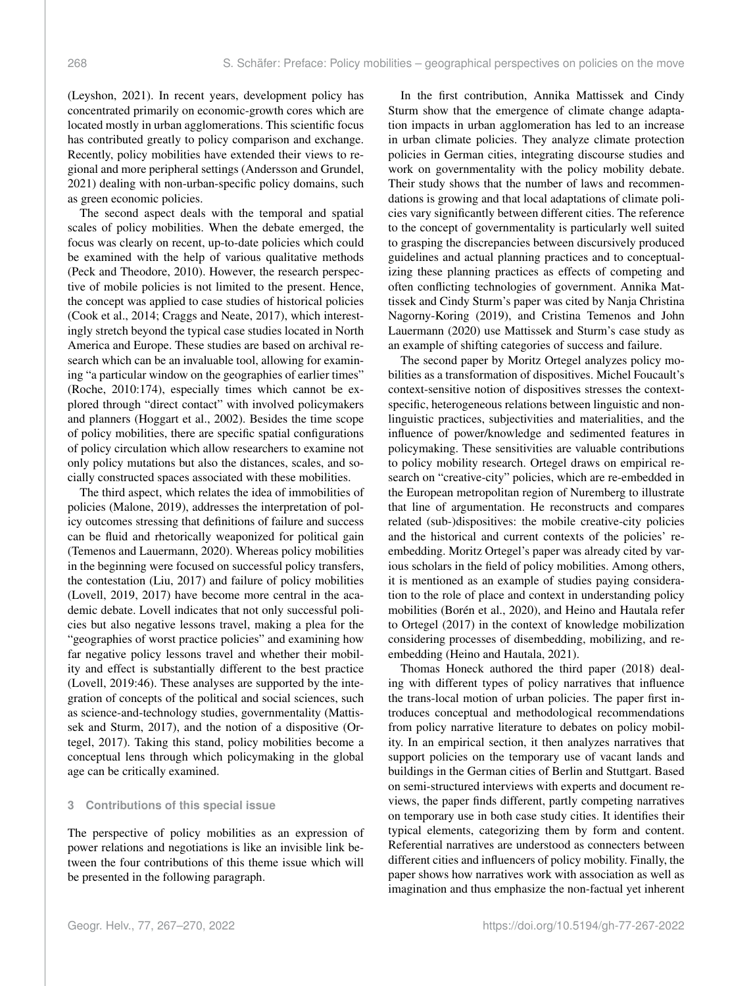(Leyshon, 2021). In recent years, development policy has concentrated primarily on economic-growth cores which are located mostly in urban agglomerations. This scientific focus has contributed greatly to policy comparison and exchange. Recently, policy mobilities have extended their views to regional and more peripheral settings (Andersson and Grundel, 2021) dealing with non-urban-specific policy domains, such as green economic policies.

The second aspect deals with the temporal and spatial scales of policy mobilities. When the debate emerged, the focus was clearly on recent, up-to-date policies which could be examined with the help of various qualitative methods (Peck and Theodore, 2010). However, the research perspective of mobile policies is not limited to the present. Hence, the concept was applied to case studies of historical policies (Cook et al., 2014; Craggs and Neate, 2017), which interestingly stretch beyond the typical case studies located in North America and Europe. These studies are based on archival research which can be an invaluable tool, allowing for examining "a particular window on the geographies of earlier times" (Roche, 2010:174), especially times which cannot be explored through "direct contact" with involved policymakers and planners (Hoggart et al., 2002). Besides the time scope of policy mobilities, there are specific spatial configurations of policy circulation which allow researchers to examine not only policy mutations but also the distances, scales, and socially constructed spaces associated with these mobilities.

The third aspect, which relates the idea of immobilities of policies (Malone, 2019), addresses the interpretation of policy outcomes stressing that definitions of failure and success can be fluid and rhetorically weaponized for political gain (Temenos and Lauermann, 2020). Whereas policy mobilities in the beginning were focused on successful policy transfers, the contestation (Liu, 2017) and failure of policy mobilities (Lovell, 2019, 2017) have become more central in the academic debate. Lovell indicates that not only successful policies but also negative lessons travel, making a plea for the "geographies of worst practice policies" and examining how far negative policy lessons travel and whether their mobility and effect is substantially different to the best practice (Lovell, 2019:46). These analyses are supported by the integration of concepts of the political and social sciences, such as science-and-technology studies, governmentality (Mattissek and Sturm, 2017), and the notion of a dispositive (Ortegel, 2017). Taking this stand, policy mobilities become a conceptual lens through which policymaking in the global age can be critically examined.

#### **3 Contributions of this special issue**

The perspective of policy mobilities as an expression of power relations and negotiations is like an invisible link between the four contributions of this theme issue which will be presented in the following paragraph.

In the first contribution, Annika Mattissek and Cindy Sturm show that the emergence of climate change adaptation impacts in urban agglomeration has led to an increase in urban climate policies. They analyze climate protection policies in German cities, integrating discourse studies and work on governmentality with the policy mobility debate. Their study shows that the number of laws and recommendations is growing and that local adaptations of climate policies vary significantly between different cities. The reference to the concept of governmentality is particularly well suited to grasping the discrepancies between discursively produced guidelines and actual planning practices and to conceptualizing these planning practices as effects of competing and often conflicting technologies of government. Annika Mattissek and Cindy Sturm's paper was cited by Nanja Christina Nagorny-Koring (2019), and Cristina Temenos and John Lauermann (2020) use Mattissek and Sturm's case study as an example of shifting categories of success and failure.

The second paper by Moritz Ortegel analyzes policy mobilities as a transformation of dispositives. Michel Foucault's context-sensitive notion of dispositives stresses the contextspecific, heterogeneous relations between linguistic and nonlinguistic practices, subjectivities and materialities, and the influence of power/knowledge and sedimented features in policymaking. These sensitivities are valuable contributions to policy mobility research. Ortegel draws on empirical research on "creative-city" policies, which are re-embedded in the European metropolitan region of Nuremberg to illustrate that line of argumentation. He reconstructs and compares related (sub-)dispositives: the mobile creative-city policies and the historical and current contexts of the policies' reembedding. Moritz Ortegel's paper was already cited by various scholars in the field of policy mobilities. Among others, it is mentioned as an example of studies paying consideration to the role of place and context in understanding policy mobilities (Borén et al., 2020), and Heino and Hautala refer to Ortegel (2017) in the context of knowledge mobilization considering processes of disembedding, mobilizing, and reembedding (Heino and Hautala, 2021).

Thomas Honeck authored the third paper (2018) dealing with different types of policy narratives that influence the trans-local motion of urban policies. The paper first introduces conceptual and methodological recommendations from policy narrative literature to debates on policy mobility. In an empirical section, it then analyzes narratives that support policies on the temporary use of vacant lands and buildings in the German cities of Berlin and Stuttgart. Based on semi-structured interviews with experts and document reviews, the paper finds different, partly competing narratives on temporary use in both case study cities. It identifies their typical elements, categorizing them by form and content. Referential narratives are understood as connecters between different cities and influencers of policy mobility. Finally, the paper shows how narratives work with association as well as imagination and thus emphasize the non-factual yet inherent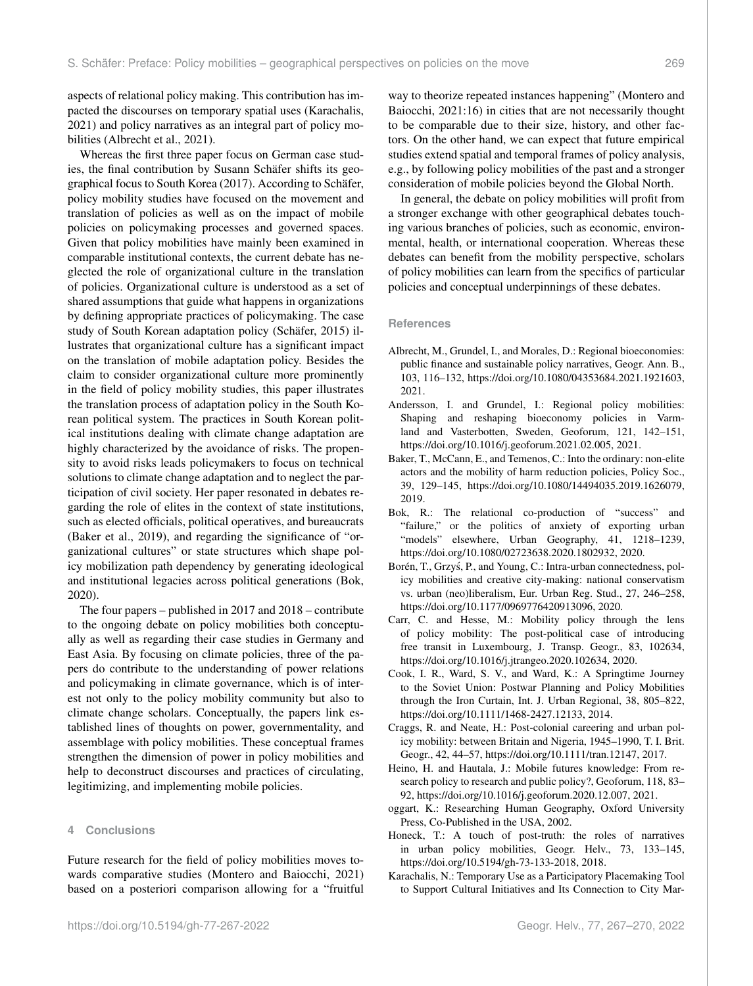aspects of relational policy making. This contribution has impacted the discourses on temporary spatial uses (Karachalis, 2021) and policy narratives as an integral part of policy mobilities (Albrecht et al., 2021).

Whereas the first three paper focus on German case studies, the final contribution by Susann Schäfer shifts its geographical focus to South Korea (2017). According to Schäfer, policy mobility studies have focused on the movement and translation of policies as well as on the impact of mobile policies on policymaking processes and governed spaces. Given that policy mobilities have mainly been examined in comparable institutional contexts, the current debate has neglected the role of organizational culture in the translation of policies. Organizational culture is understood as a set of shared assumptions that guide what happens in organizations by defining appropriate practices of policymaking. The case study of South Korean adaptation policy (Schäfer, 2015) illustrates that organizational culture has a significant impact on the translation of mobile adaptation policy. Besides the claim to consider organizational culture more prominently in the field of policy mobility studies, this paper illustrates the translation process of adaptation policy in the South Korean political system. The practices in South Korean political institutions dealing with climate change adaptation are highly characterized by the avoidance of risks. The propensity to avoid risks leads policymakers to focus on technical solutions to climate change adaptation and to neglect the participation of civil society. Her paper resonated in debates regarding the role of elites in the context of state institutions, such as elected officials, political operatives, and bureaucrats (Baker et al., 2019), and regarding the significance of "organizational cultures" or state structures which shape policy mobilization path dependency by generating ideological and institutional legacies across political generations (Bok, 2020).

The four papers – published in 2017 and 2018 – contribute to the ongoing debate on policy mobilities both conceptually as well as regarding their case studies in Germany and East Asia. By focusing on climate policies, three of the papers do contribute to the understanding of power relations and policymaking in climate governance, which is of interest not only to the policy mobility community but also to climate change scholars. Conceptually, the papers link established lines of thoughts on power, governmentality, and assemblage with policy mobilities. These conceptual frames strengthen the dimension of power in policy mobilities and help to deconstruct discourses and practices of circulating, legitimizing, and implementing mobile policies.

#### **4 Conclusions**

Future research for the field of policy mobilities moves towards comparative studies (Montero and Baiocchi, 2021) based on a posteriori comparison allowing for a "fruitful way to theorize repeated instances happening" (Montero and Baiocchi, 2021:16) in cities that are not necessarily thought to be comparable due to their size, history, and other factors. On the other hand, we can expect that future empirical studies extend spatial and temporal frames of policy analysis, e.g., by following policy mobilities of the past and a stronger consideration of mobile policies beyond the Global North.

In general, the debate on policy mobilities will profit from a stronger exchange with other geographical debates touching various branches of policies, such as economic, environmental, health, or international cooperation. Whereas these debates can benefit from the mobility perspective, scholars of policy mobilities can learn from the specifics of particular policies and conceptual underpinnings of these debates.

#### **References**

- Albrecht, M., Grundel, I., and Morales, D.: Regional bioeconomies: public finance and sustainable policy narratives, Geogr. Ann. B., 103, 116–132, https://doi.org[/10.1080/04353684.2021.1921603,](https://doi.org/10.1080/04353684.2021.1921603) 2021.
- Andersson, I. and Grundel, I.: Regional policy mobilities: Shaping and reshaping bioeconomy policies in Varmland and Vasterbotten, Sweden, Geoforum, 121, 142–151, https://doi.org[/10.1016/j.geoforum.2021.02.005,](https://doi.org/10.1016/j.geoforum.2021.02.005) 2021.
- Baker, T., McCann, E., and Temenos, C.: Into the ordinary: non-elite actors and the mobility of harm reduction policies, Policy Soc., 39, 129–145, https://doi.org[/10.1080/14494035.2019.1626079,](https://doi.org/10.1080/14494035.2019.1626079) 2019.
- Bok, R.: The relational co-production of "success" and "failure," or the politics of anxiety of exporting urban "models" elsewhere, Urban Geography, 41, 1218-1239, https://doi.org[/10.1080/02723638.2020.1802932,](https://doi.org/10.1080/02723638.2020.1802932) 2020.
- Borén, T., Grzyś, P., and Young, C.: Intra-urban connectedness, policy mobilities and creative city-making: national conservatism vs. urban (neo)liberalism, Eur. Urban Reg. Stud., 27, 246–258, https://doi.org[/10.1177/0969776420913096,](https://doi.org/10.1177/0969776420913096) 2020.
- Carr, C. and Hesse, M.: Mobility policy through the lens of policy mobility: The post-political case of introducing free transit in Luxembourg, J. Transp. Geogr., 83, 102634, https://doi.org[/10.1016/j.jtrangeo.2020.102634,](https://doi.org/10.1016/j.jtrangeo.2020.102634) 2020.
- Cook, I. R., Ward, S. V., and Ward, K.: A Springtime Journey to the Soviet Union: Postwar Planning and Policy Mobilities through the Iron Curtain, Int. J. Urban Regional, 38, 805–822, https://doi.org[/10.1111/1468-2427.12133,](https://doi.org/10.1111/1468-2427.12133) 2014.
- Craggs, R. and Neate, H.: Post-colonial careering and urban policy mobility: between Britain and Nigeria, 1945–1990, T. I. Brit. Geogr., 42, 44–57, https://doi.org[/10.1111/tran.12147,](https://doi.org/10.1111/tran.12147) 2017.
- Heino, H. and Hautala, J.: Mobile futures knowledge: From research policy to research and public policy?, Geoforum, 118, 83– 92, https://doi.org[/10.1016/j.geoforum.2020.12.007,](https://doi.org/10.1016/j.geoforum.2020.12.007) 2021.
- oggart, K.: Researching Human Geography, Oxford University Press, Co-Published in the USA, 2002.
- Honeck, T.: A touch of post-truth: the roles of narratives in urban policy mobilities, Geogr. Helv., 73, 133–145, https://doi.org[/10.5194/gh-73-133-2018,](https://doi.org/10.5194/gh-73-133-2018) 2018.
- Karachalis, N.: Temporary Use as a Participatory Placemaking Tool to Support Cultural Initiatives and Its Connection to City Mar-